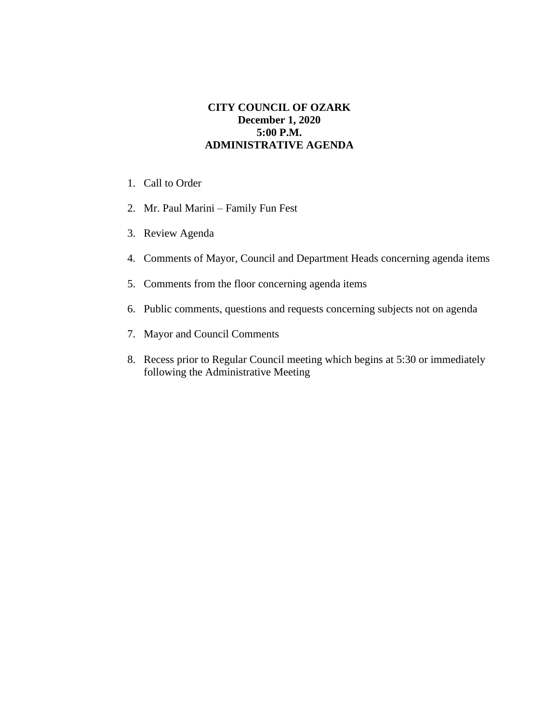## **CITY COUNCIL OF OZARK December 1, 2020 5:00 P.M. ADMINISTRATIVE AGENDA**

- 1. Call to Order
- 2. Mr. Paul Marini Family Fun Fest
- 3. Review Agenda
- 4. Comments of Mayor, Council and Department Heads concerning agenda items
- 5. Comments from the floor concerning agenda items
- 6. Public comments, questions and requests concerning subjects not on agenda
- 7. Mayor and Council Comments
- 8. Recess prior to Regular Council meeting which begins at 5:30 or immediately following the Administrative Meeting